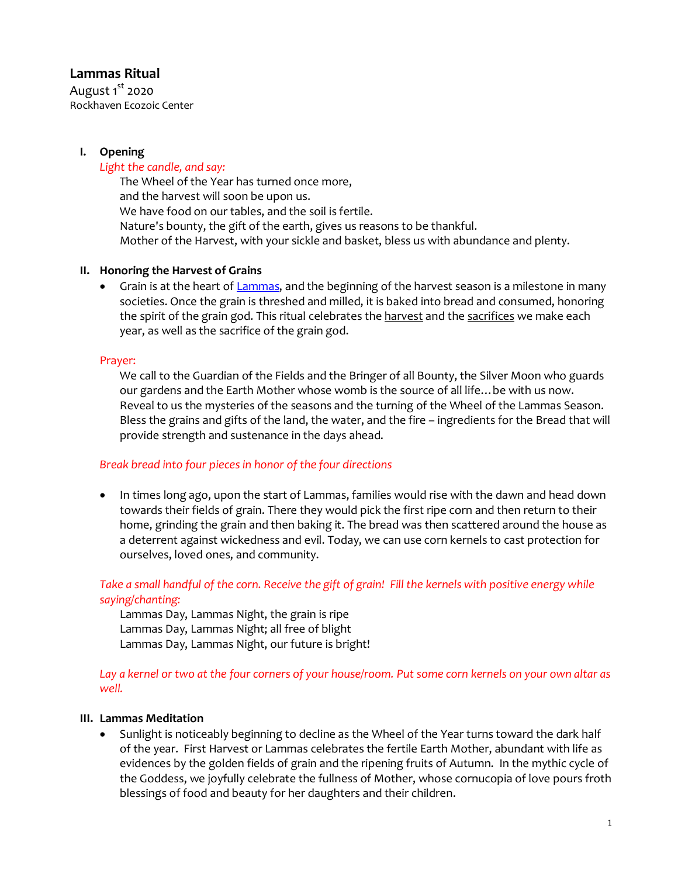# **Lammas Ritual**

August  $1^{\text{st}}$  2020 Rockhaven Ecozoic Center

# **I. Opening**

## *Light the candle, and say:*

The Wheel of the Year has turned once more, and the harvest will soon be upon us. We have food on our tables, and the soil is fertile. Nature's bounty, the gift of the earth, gives us reasons to be thankful. Mother of the Harvest, with your sickle and basket, bless us with abundance and plenty.

# **II. Honoring the Harvest of Grains**

• Grain is at the heart of Lammas, and the beginning of the harvest season is a milestone in many societies. Once the grain is threshed and milled, it is baked into bread and consumed, honoring the spirit of the grain god. This ritual celebrates the harvest and the sacrifices we make each year, as well as the sacrifice of the grain god.

#### Prayer:

We call to the Guardian of the Fields and the Bringer of all Bounty, the Silver Moon who guards our gardens and the Earth Mother whose womb is the source of all life…be with us now. Reveal to us the mysteries of the seasons and the turning of the Wheel of the Lammas Season. Bless the grains and gifts of the land, the water, and the fire – ingredients for the Bread that will provide strength and sustenance in the days ahead.

#### *Break bread into four piecesin honor of the four directions*

• In times long ago, upon the start of Lammas, families would rise with the dawn and head down towards their fields of grain. There they would pick the first ripe corn and then return to their home, grinding the grain and then baking it. The bread was then scattered around the house as a deterrent against wickedness and evil. Today, we can use corn kernels to cast protection for ourselves, loved ones, and community.

## *Take a small handful of the corn. Receive the gift of grain! Fill the kernels with positive energy while saying/chanting:*

Lammas Day, Lammas Night, the grain is ripe Lammas Day, Lammas Night; all free of blight Lammas Day, Lammas Night, our future is bright!

*Lay a kernel or two at the four corners of your house/room. Put some corn kernels on your own altar as well.*

# **III. Lammas Meditation**

• Sunlight is noticeably beginning to decline as the Wheel of the Year turns toward the dark half of the year. First Harvest or Lammas celebrates the fertile Earth Mother, abundant with life as evidences by the golden fields of grain and the ripening fruits of Autumn. In the mythic cycle of the Goddess, we joyfully celebrate the fullness of Mother, whose cornucopia of love pours froth blessings of food and beauty for her daughters and their children.